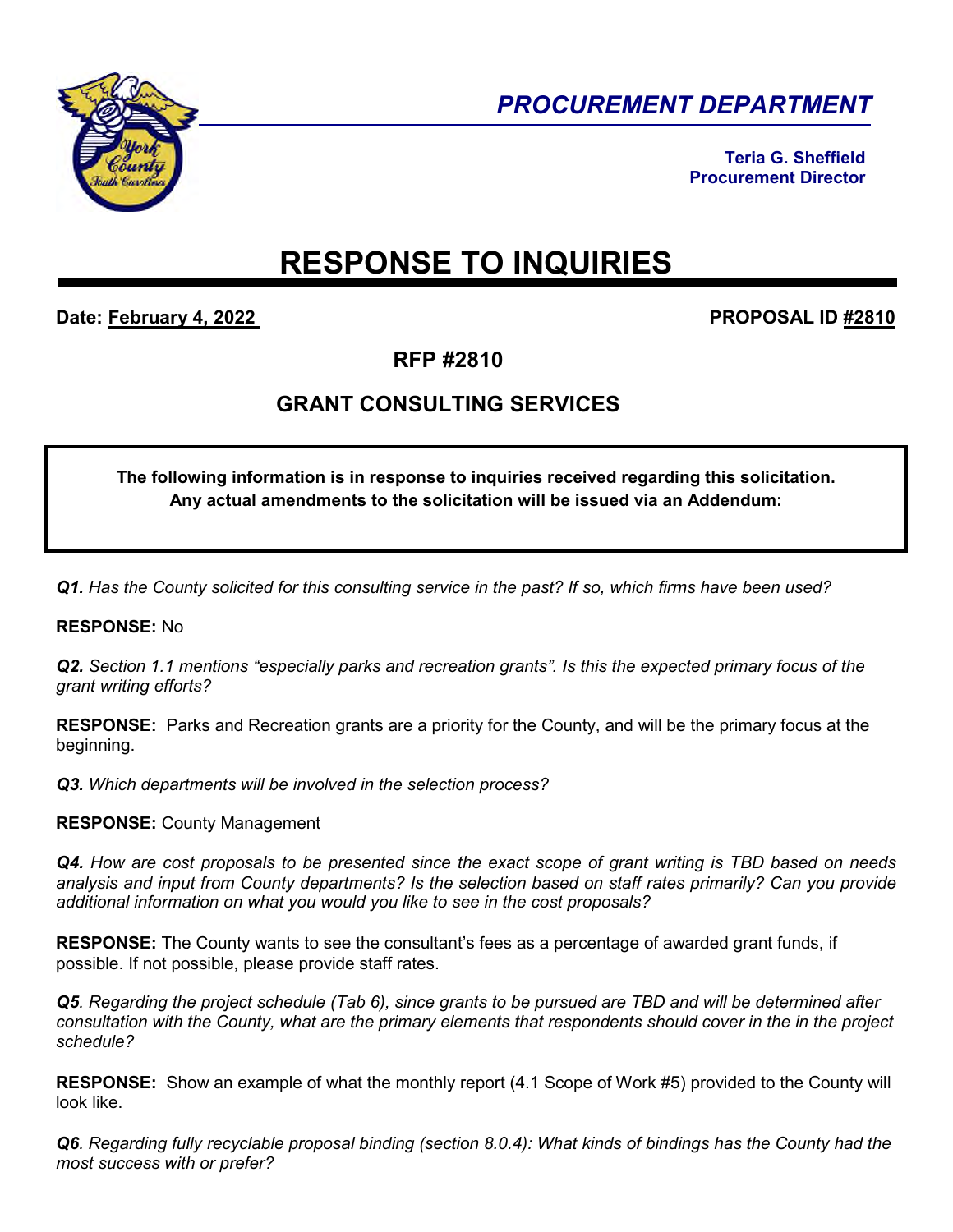

*PROCUREMENT DEPARTMENT* 

**Teria G. Sheffield Procurement Director** 

# **RESPONSE TO INQUIRIES**

**Date: February 4, 2022 PROPOSAL ID #2810** 

**RFP #2810** 

# **GRANT CONSULTING SERVICES**

## **The following information is in response to inquiries received regarding this solicitation. Any actual amendments to the solicitation will be issued via an Addendum:**

*Q1. Has the County solicited for this consulting service in the past? If so, which firms have been used?* 

### **RESPONSE:** No

*Q2. Section 1.1 mentions "especially parks and recreation grants". Is this the expected primary focus of the grant writing efforts?* 

**RESPONSE:** Parks and Recreation grants are a priority for the County, and will be the primary focus at the beginning.

*Q3. Which departments will be involved in the selection process?* 

#### **RESPONSE:** County Management

*Q4. How are cost proposals to be presented since the exact scope of grant writing is TBD based on needs analysis and input from County departments? Is the selection based on staff rates primarily? Can you provide additional information on what you would you like to see in the cost proposals?*

**RESPONSE:** The County wants to see the consultant's fees as a percentage of awarded grant funds, if possible. If not possible, please provide staff rates.

*Q5. Regarding the project schedule (Tab 6), since grants to be pursued are TBD and will be determined after consultation with the County, what are the primary elements that respondents should cover in the in the project schedule?* 

**RESPONSE:** Show an example of what the monthly report (4.1 Scope of Work #5) provided to the County will look like.

*Q6. Regarding fully recyclable proposal binding (section 8.0.4): What kinds of bindings has the County had the most success with or prefer?*